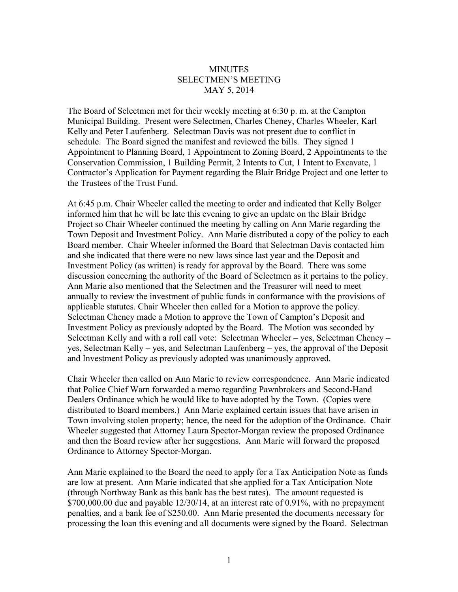## **MINUTES** SELECTMEN'S MEETING MAY 5, 2014

The Board of Selectmen met for their weekly meeting at 6:30 p. m. at the Campton Municipal Building. Present were Selectmen, Charles Cheney, Charles Wheeler, Karl Kelly and Peter Laufenberg. Selectman Davis was not present due to conflict in schedule. The Board signed the manifest and reviewed the bills. They signed 1 Appointment to Planning Board, 1 Appointment to Zoning Board, 2 Appointments to the Conservation Commission, 1 Building Permit, 2 Intents to Cut, 1 Intent to Excavate, 1 Contractor's Application for Payment regarding the Blair Bridge Project and one letter to the Trustees of the Trust Fund.

At 6:45 p.m. Chair Wheeler called the meeting to order and indicated that Kelly Bolger informed him that he will be late this evening to give an update on the Blair Bridge Project so Chair Wheeler continued the meeting by calling on Ann Marie regarding the Town Deposit and Investment Policy. Ann Marie distributed a copy of the policy to each Board member. Chair Wheeler informed the Board that Selectman Davis contacted him and she indicated that there were no new laws since last year and the Deposit and Investment Policy (as written) is ready for approval by the Board. There was some discussion concerning the authority of the Board of Selectmen as it pertains to the policy. Ann Marie also mentioned that the Selectmen and the Treasurer will need to meet annually to review the investment of public funds in conformance with the provisions of applicable statutes. Chair Wheeler then called for a Motion to approve the policy. Selectman Cheney made a Motion to approve the Town of Campton's Deposit and Investment Policy as previously adopted by the Board. The Motion was seconded by Selectman Kelly and with a roll call vote: Selectman Wheeler – yes, Selectman Cheney – yes, Selectman Kelly – yes, and Selectman Laufenberg – yes, the approval of the Deposit and Investment Policy as previously adopted was unanimously approved.

Chair Wheeler then called on Ann Marie to review correspondence. Ann Marie indicated that Police Chief Warn forwarded a memo regarding Pawnbrokers and Second-Hand Dealers Ordinance which he would like to have adopted by the Town. (Copies were distributed to Board members.) Ann Marie explained certain issues that have arisen in Town involving stolen property; hence, the need for the adoption of the Ordinance. Chair Wheeler suggested that Attorney Laura Spector-Morgan review the proposed Ordinance and then the Board review after her suggestions. Ann Marie will forward the proposed Ordinance to Attorney Spector-Morgan.

Ann Marie explained to the Board the need to apply for a Tax Anticipation Note as funds are low at present. Ann Marie indicated that she applied for a Tax Anticipation Note (through Northway Bank as this bank has the best rates). The amount requested is  $$700,000.00$  due and payable  $12/30/14$ , at an interest rate of 0.91%, with no prepayment penalties, and a bank fee of \$250.00. Ann Marie presented the documents necessary for processing the loan this evening and all documents were signed by the Board. Selectman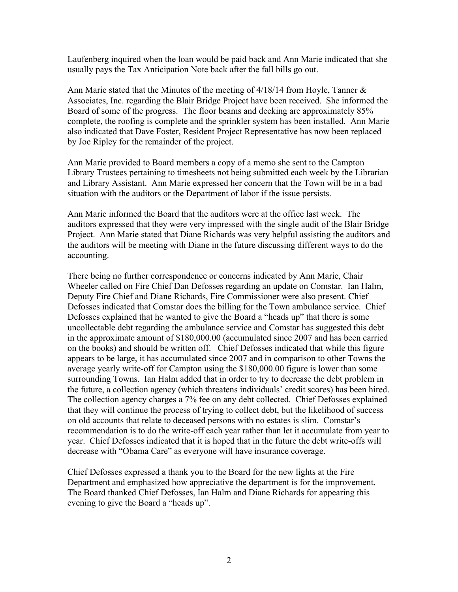Laufenberg inquired when the loan would be paid back and Ann Marie indicated that she usually pays the Tax Anticipation Note back after the fall bills go out.

Ann Marie stated that the Minutes of the meeting of 4/18/14 from Hoyle, Tanner & Associates, Inc. regarding the Blair Bridge Project have been received. She informed the Board of some of the progress. The floor beams and decking are approximately 85% complete, the roofing is complete and the sprinkler system has been installed. Ann Marie also indicated that Dave Foster, Resident Project Representative has now been replaced by Joe Ripley for the remainder of the project.

Ann Marie provided to Board members a copy of a memo she sent to the Campton Library Trustees pertaining to timesheets not being submitted each week by the Librarian and Library Assistant. Ann Marie expressed her concern that the Town will be in a bad situation with the auditors or the Department of labor if the issue persists.

Ann Marie informed the Board that the auditors were at the office last week. The auditors expressed that they were very impressed with the single audit of the Blair Bridge Project. Ann Marie stated that Diane Richards was very helpful assisting the auditors and the auditors will be meeting with Diane in the future discussing different ways to do the accounting.

There being no further correspondence or concerns indicated by Ann Marie, Chair Wheeler called on Fire Chief Dan Defosses regarding an update on Comstar. Ian Halm, Deputy Fire Chief and Diane Richards, Fire Commissioner were also present. Chief Defosses indicated that Comstar does the billing for the Town ambulance service. Chief Defosses explained that he wanted to give the Board a "heads up" that there is some uncollectable debt regarding the ambulance service and Comstar has suggested this debt in the approximate amount of \$180,000.00 (accumulated since 2007 and has been carried on the books) and should be written off. Chief Defosses indicated that while this figure appears to be large, it has accumulated since 2007 and in comparison to other Towns the average yearly write-off for Campton using the \$180,000.00 figure is lower than some surrounding Towns. Ian Halm added that in order to try to decrease the debt problem in the future, a collection agency (which threatens individuals' credit scores) has been hired. The collection agency charges a 7% fee on any debt collected. Chief Defosses explained that they will continue the process of trying to collect debt, but the likelihood of success on old accounts that relate to deceased persons with no estates is slim. Comstar's recommendation is to do the write-off each year rather than let it accumulate from year to year. Chief Defosses indicated that it is hoped that in the future the debt write-offs will decrease with "Obama Care" as everyone will have insurance coverage.

Chief Defosses expressed a thank you to the Board for the new lights at the Fire Department and emphasized how appreciative the department is for the improvement. The Board thanked Chief Defosses, Ian Halm and Diane Richards for appearing this evening to give the Board a "heads up".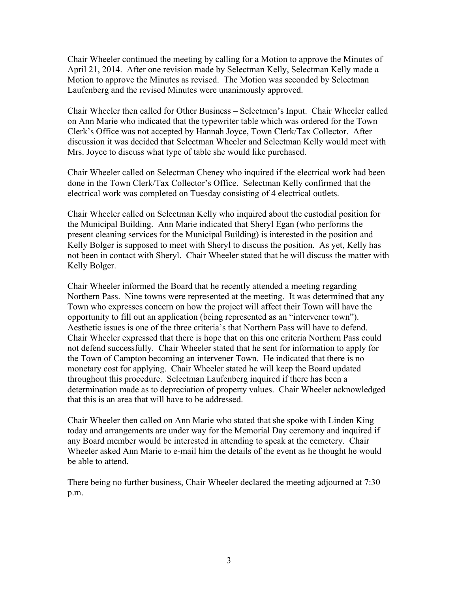Chair Wheeler continued the meeting by calling for a Motion to approve the Minutes of April 21, 2014. After one revision made by Selectman Kelly, Selectman Kelly made a Motion to approve the Minutes as revised. The Motion was seconded by Selectman Laufenberg and the revised Minutes were unanimously approved.

Chair Wheeler then called for Other Business – Selectmen's Input. Chair Wheeler called on Ann Marie who indicated that the typewriter table which was ordered for the Town Clerk's Office was not accepted by Hannah Joyce, Town Clerk/Tax Collector. After discussion it was decided that Selectman Wheeler and Selectman Kelly would meet with Mrs. Joyce to discuss what type of table she would like purchased.

Chair Wheeler called on Selectman Cheney who inquired if the electrical work had been done in the Town Clerk/Tax Collector's Office. Selectman Kelly confirmed that the electrical work was completed on Tuesday consisting of 4 electrical outlets.

Chair Wheeler called on Selectman Kelly who inquired about the custodial position for the Municipal Building. Ann Marie indicated that Sheryl Egan (who performs the present cleaning services for the Municipal Building) is interested in the position and Kelly Bolger is supposed to meet with Sheryl to discuss the position. As yet, Kelly has not been in contact with Sheryl. Chair Wheeler stated that he will discuss the matter with Kelly Bolger.

Chair Wheeler informed the Board that he recently attended a meeting regarding Northern Pass. Nine towns were represented at the meeting. It was determined that any Town who expresses concern on how the project will affect their Town will have the opportunity to fill out an application (being represented as an "intervener town"). Aesthetic issues is one of the three criteria's that Northern Pass will have to defend. Chair Wheeler expressed that there is hope that on this one criteria Northern Pass could not defend successfully. Chair Wheeler stated that he sent for information to apply for the Town of Campton becoming an intervener Town. He indicated that there is no monetary cost for applying. Chair Wheeler stated he will keep the Board updated throughout this procedure. Selectman Laufenberg inquired if there has been a determination made as to depreciation of property values. Chair Wheeler acknowledged that this is an area that will have to be addressed.

Chair Wheeler then called on Ann Marie who stated that she spoke with Linden King today and arrangements are under way for the Memorial Day ceremony and inquired if any Board member would be interested in attending to speak at the cemetery. Chair Wheeler asked Ann Marie to e-mail him the details of the event as he thought he would be able to attend.

There being no further business, Chair Wheeler declared the meeting adjourned at 7:30 p.m.